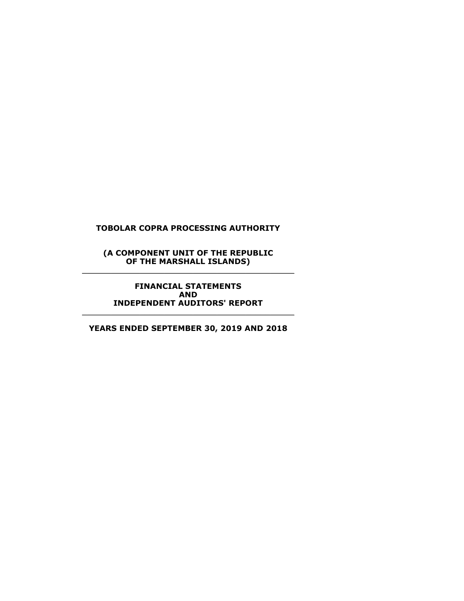**(A COMPONENT UNIT OF THE REPUBLIC OF THE MARSHALL ISLANDS)**  $\mathcal{L}_\text{max}$  and  $\mathcal{L}_\text{max}$  and  $\mathcal{L}_\text{max}$  and  $\mathcal{L}_\text{max}$  and  $\mathcal{L}_\text{max}$ 

> **FINANCIAL STATEMENTS AND INDEPENDENT AUDITORS' REPORT**

 $\mathcal{L}_\text{max}$  and  $\mathcal{L}_\text{max}$  and  $\mathcal{L}_\text{max}$  and  $\mathcal{L}_\text{max}$  and  $\mathcal{L}_\text{max}$ 

**YEARS ENDED SEPTEMBER 30, 2019 AND 2018**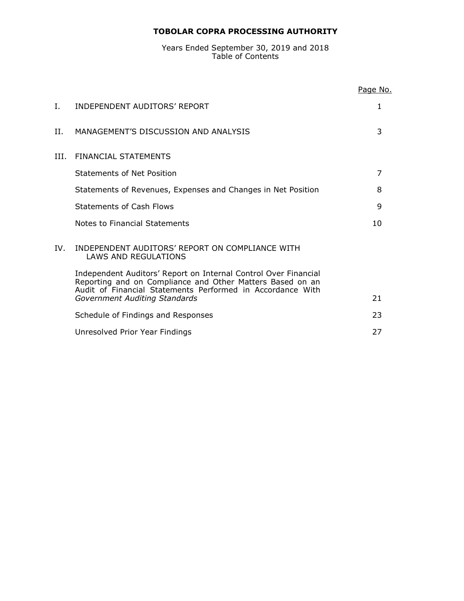# Years Ended September 30, 2019 and 2018 Table of Contents

|     |                                                                                                                                                                                            | Page No. |
|-----|--------------------------------------------------------------------------------------------------------------------------------------------------------------------------------------------|----------|
| Ī.  | INDEPENDENT AUDITORS' REPORT                                                                                                                                                               | 1        |
| H.  | MANAGEMENT'S DISCUSSION AND ANALYSIS                                                                                                                                                       | 3        |
| HL. | <b>FINANCIAL STATEMENTS</b>                                                                                                                                                                |          |
|     | Statements of Net Position                                                                                                                                                                 | 7        |
|     | Statements of Revenues, Expenses and Changes in Net Position                                                                                                                               | 8        |
|     | Statements of Cash Flows                                                                                                                                                                   | 9        |
|     | Notes to Financial Statements                                                                                                                                                              | 10       |
| IV. | INDEPENDENT AUDITORS' REPORT ON COMPLIANCE WITH<br>LAWS AND REGULATIONS                                                                                                                    |          |
|     | Independent Auditors' Report on Internal Control Over Financial<br>Reporting and on Compliance and Other Matters Based on an<br>Audit of Financial Statements Performed in Accordance With |          |
|     | Government Auditing Standards                                                                                                                                                              | 21       |
|     | Schedule of Findings and Responses                                                                                                                                                         | 23       |
|     | Unresolved Prior Year Findings                                                                                                                                                             | 27       |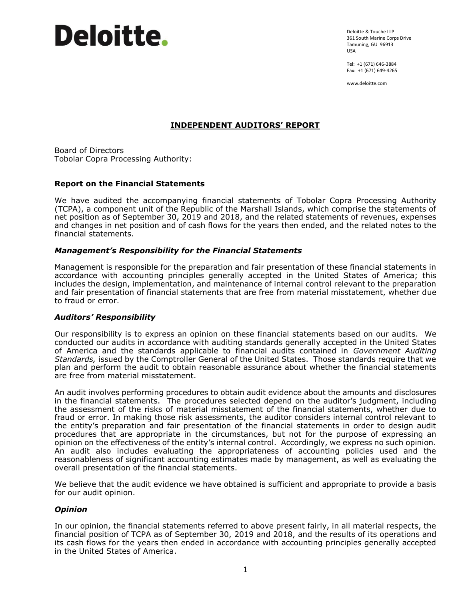# Deloitte.

Deloitte & Touche LLP 361 South Marine Corps Drive Tamuning, GU 96913 USA

Tel: +1 (671) 646-3884 Fax: +1 (671) 649-4265

www.deloitte.com

# **INDEPENDENT AUDITORS' REPORT**

Board of Directors Tobolar Copra Processing Authority:

# **Report on the Financial Statements**

We have audited the accompanying financial statements of Tobolar Copra Processing Authority (TCPA), a component unit of the Republic of the Marshall Islands, which comprise the statements of net position as of September 30, 2019 and 2018, and the related statements of revenues, expenses and changes in net position and of cash flows for the years then ended, and the related notes to the financial statements.

# *Management's Responsibility for the Financial Statements*

Management is responsible for the preparation and fair presentation of these financial statements in accordance with accounting principles generally accepted in the United States of America; this includes the design, implementation, and maintenance of internal control relevant to the preparation and fair presentation of financial statements that are free from material misstatement, whether due to fraud or error.

# *Auditors' Responsibility*

Our responsibility is to express an opinion on these financial statements based on our audits. We conducted our audits in accordance with auditing standards generally accepted in the United States of America and the standards applicable to financial audits contained in *Government Auditing Standards,* issued by the Comptroller General of the United States. Those standards require that we plan and perform the audit to obtain reasonable assurance about whether the financial statements are free from material misstatement.

An audit involves performing procedures to obtain audit evidence about the amounts and disclosures in the financial statements. The procedures selected depend on the auditor's judgment, including the assessment of the risks of material misstatement of the financial statements, whether due to fraud or error. In making those risk assessments, the auditor considers internal control relevant to the entity's preparation and fair presentation of the financial statements in order to design audit procedures that are appropriate in the circumstances, but not for the purpose of expressing an opinion on the effectiveness of the entity's internal control. Accordingly, we express no such opinion. An audit also includes evaluating the appropriateness of accounting policies used and the reasonableness of significant accounting estimates made by management, as well as evaluating the overall presentation of the financial statements.

We believe that the audit evidence we have obtained is sufficient and appropriate to provide a basis for our audit opinion.

# *Opinion*

In our opinion, the financial statements referred to above present fairly, in all material respects, the financial position of TCPA as of September 30, 2019 and 2018, and the results of its operations and its cash flows for the years then ended in accordance with accounting principles generally accepted in the United States of America.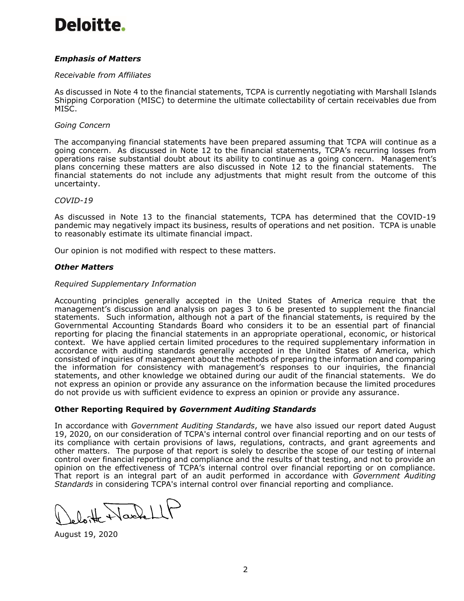# Deloitte.

# *Emphasis of Matters*

# *Receivable from Affiliates*

As discussed in Note 4 to the financial statements, TCPA is currently negotiating with Marshall Islands Shipping Corporation (MISC) to determine the ultimate collectability of certain receivables due from MISC.

### *Going Concern*

The accompanying financial statements have been prepared assuming that TCPA will continue as a going concern. As discussed in Note 12 to the financial statements, TCPA's recurring losses from operations raise substantial doubt about its ability to continue as a going concern. Management's plans concerning these matters are also discussed in Note 12 to the financial statements. The financial statements do not include any adjustments that might result from the outcome of this uncertainty.

# *COVID-19*

As discussed in Note 13 to the financial statements, TCPA has determined that the COVID-19 pandemic may negatively impact its business, results of operations and net position. TCPA is unable to reasonably estimate its ultimate financial impact.

Our opinion is not modified with respect to these matters.

# *Other Matters*

# *Required Supplementary Information*

Accounting principles generally accepted in the United States of America require that the management's discussion and analysis on pages 3 to 6 be presented to supplement the financial statements. Such information, although not a part of the financial statements, is required by the Governmental Accounting Standards Board who considers it to be an essential part of financial reporting for placing the financial statements in an appropriate operational, economic, or historical context. We have applied certain limited procedures to the required supplementary information in accordance with auditing standards generally accepted in the United States of America, which consisted of inquiries of management about the methods of preparing the information and comparing the information for consistency with management's responses to our inquiries, the financial statements, and other knowledge we obtained during our audit of the financial statements. We do not express an opinion or provide any assurance on the information because the limited procedures do not provide us with sufficient evidence to express an opinion or provide any assurance.

# **Other Reporting Required by** *Government Auditing Standards*

In accordance with *Government Auditing Standards*, we have also issued our report dated August 19, 2020, on our consideration of TCPA's internal control over financial reporting and on our tests of its compliance with certain provisions of laws, regulations, contracts, and grant agreements and other matters. The purpose of that report is solely to describe the scope of our testing of internal control over financial reporting and compliance and the results of that testing, and not to provide an opinion on the effectiveness of TCPA's internal control over financial reporting or on compliance. That report is an integral part of an audit performed in accordance with *Government Auditing Standards* in considering TCPA's internal control over financial reporting and compliance.

Varkell

August 19, 2020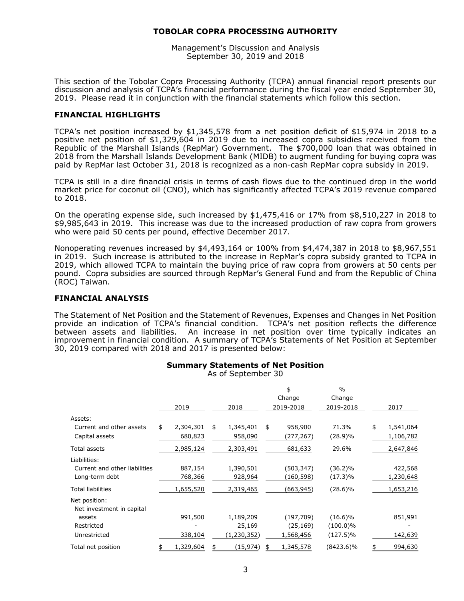Management's Discussion and Analysis September 30, 2019 and 2018

This section of the Tobolar Copra Processing Authority (TCPA) annual financial report presents our discussion and analysis of TCPA's financial performance during the fiscal year ended September 30, 2019. Please read it in conjunction with the financial statements which follow this section.

# **FINANCIAL HIGHLIGHTS**

TCPA's net position increased by \$1,345,578 from a net position deficit of \$15,974 in 2018 to a positive net position of \$1,329,604 in 2019 due to increased copra subsidies received from the Republic of the Marshall Islands (RepMar) Government. The \$700,000 loan that was obtained in 2018 from the Marshall Islands Development Bank (MIDB) to augment funding for buying copra was paid by RepMar last October 31, 2018 is recognized as a non-cash RepMar copra subsidy in 2019.

TCPA is still in a dire financial crisis in terms of cash flows due to the continued drop in the world market price for coconut oil (CNO), which has significantly affected TCPA's 2019 revenue compared to 2018.

On the operating expense side, such increased by \$1,475,416 or 17% from \$8,510,227 in 2018 to \$9,985,643 in 2019. This increase was due to the increased production of raw copra from growers who were paid 50 cents per pound, effective December 2017.

Nonoperating revenues increased by \$4,493,164 or 100% from \$4,474,387 in 2018 to \$8,967,551 in 2019. Such increase is attributed to the increase in RepMar's copra subsidy granted to TCPA in 2019, which allowed TCPA to maintain the buying price of raw copra from growers at 50 cents per pound. Copra subsidies are sourced through RepMar's General Fund and from the Republic of China (ROC) Taiwan.

# **FINANCIAL ANALYSIS**

The Statement of Net Position and the Statement of Revenues, Expenses and Changes in Net Position provide an indication of TCPA's financial condition. TCPA's net position reflects the difference between assets and liabilities. An increase in net position over time typically indicates an improvement in financial condition. A summary of TCPA's Statements of Net Position at September 30, 2019 compared with 2018 and 2017 is presented below:

#### **Summary Statements of Net Position**

As of September 30

|                                            |                 |                 | \$              | $\frac{0}{0}$ |                 |
|--------------------------------------------|-----------------|-----------------|-----------------|---------------|-----------------|
|                                            |                 |                 | Change          | Change        |                 |
|                                            | 2019            | 2018            | 2019-2018       | 2019-2018     | 2017            |
| Assets:                                    |                 |                 |                 |               |                 |
| Current and other assets                   | \$<br>2,304,301 | \$<br>1,345,401 | \$<br>958,900   | 71.3%         | \$<br>1,541,064 |
| Capital assets                             | 680,823         | 958,090         | (277,267)       | (28.9)%       | 1,106,782       |
| Total assets                               | 2,985,124       | 2,303,491       | 681,633         | 29.6%         | 2,647,846       |
| Liabilities:                               |                 |                 |                 |               |                 |
| Current and other liabilities              | 887,154         | 1,390,501       | (503,347)       | $(36.2)\%$    | 422,568         |
| Long-term debt                             | 768,366         | 928,964         | (160,598)       | $(17.3)\%$    | 1,230,648       |
| Total liabilities                          | 1,655,520       | 2,319,465       | (663,945)       | $(28.6)\%$    | 1,653,216       |
| Net position:<br>Net investment in capital |                 |                 |                 |               |                 |
| assets                                     | 991,500         | 1,189,209       | (197, 709)      | $(16.6)\%$    | 851,991         |
| Restricted                                 |                 | 25,169          | (25, 169)       | $(100.0)\%$   |                 |
| Unrestricted                               | 338,104         | (1,230,352)     | 1,568,456       | $(127.5)\%$   | 142,639         |
| Total net position                         | \$<br>1,329,604 | \$<br>(15, 974) | \$<br>1,345,578 | (8423.6)%     | \$<br>994,630   |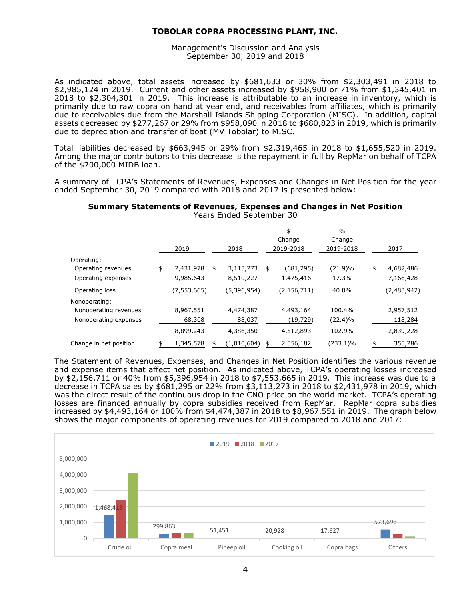# **TOBOLAR COPRA PROCESSING PLANT, INC.**

Management's Discussion and Analysis September 30, 2019 and 2018

As indicated above, total assets increased by \$681,633 or 30% from \$2,303,491 in 2018 to \$2,985,124 in 2019. Current and other assets increased by \$958,900 or 71% from \$1,345,401 in 2018 to \$2,304,301 in 2019. This increase is attributable to an increase in inventory, which is primarily due to raw copra on hand at year end, and receivables from affiliates, which is primarily due to receivables due from the Marshall Islands Shipping Corporation (MISC). In addition, capital assets decreased by \$277,267 or 29% from \$958,090 in 2018 to \$680,823 in 2019, which is primarily due to depreciation and transfer of boat (MV Tobolar) to MISC.

Total liabilities decreased by \$663,945 or 29% from \$2,319,465 in 2018 to \$1,655,520 in 2019. Among the major contributors to this decrease is the repayment in full by RepMar on behalf of TCPA of the \$700,000 MIDB loan.

A summary of TCPA's Statements of Revenues, Expenses and Changes in Net Position for the year ended September 30, 2019 compared with 2018 and 2017 is presented below:

#### **Summary Statements of Revenues, Expenses and Changes in Net Position** Years Ended September 30

|                        | 2019            | 2018              | \$<br>Change<br>2019-2018 | $\frac{0}{0}$<br>Change<br>2019-2018 | 2017            |
|------------------------|-----------------|-------------------|---------------------------|--------------------------------------|-----------------|
|                        |                 |                   |                           |                                      |                 |
| Operating:             |                 |                   |                           |                                      |                 |
| Operating revenues     | \$<br>2,431,978 | \$<br>3,113,273   | \$<br>(681,295)           | (21.9)%                              | \$<br>4,682,486 |
| Operating expenses     | 9,985,643       | 8,510,227         | 1,475,416                 | 17.3%                                | 7,166,428       |
| Operating loss         | (7,553,665)     | (5,396,954)       | (2, 156, 711)             | 40.0%                                | (2,483,942)     |
| Nonoperating:          |                 |                   |                           |                                      |                 |
| Nonoperating revenues  | 8,967,551       | 4,474,387         | 4,493,164                 | 100.4%                               | 2,957,512       |
| Nonoperating expenses  | 68,308          | 88,037            | (19, 729)                 | $(22.4)\%$                           | 118,284         |
|                        | 8,899,243       | 4,386,350         | 4,512,893                 | 102.9%                               | 2,839,228       |
| Change in net position | \$<br>1,345,578 | \$<br>(1,010,604) | \$<br>2,356,182           | $(233.1)\%$                          | \$<br>355,286   |

The Statement of Revenues, Expenses, and Changes in Net Position identifies the various revenue and expense items that affect net position. As indicated above, TCPA's operating losses increased by \$2,156,711 or 40% from \$5,396,954 in 2018 to \$7,553,665 in 2019. This increase was due to a decrease in TCPA sales by \$681,295 or 22% from \$3,113,273 in 2018 to \$2,431,978 in 2019, which was the direct result of the continuous drop in the CNO price on the world market. TCPA's operating losses are financed annually by copra subsidies received from RepMar. RepMar copra subsidies increased by \$4,493,164 or 100% from \$4,474,387 in 2018 to \$8,967,551 in 2019. The graph below shows the major components of operating revenues for 2019 compared to 2018 and 2017:

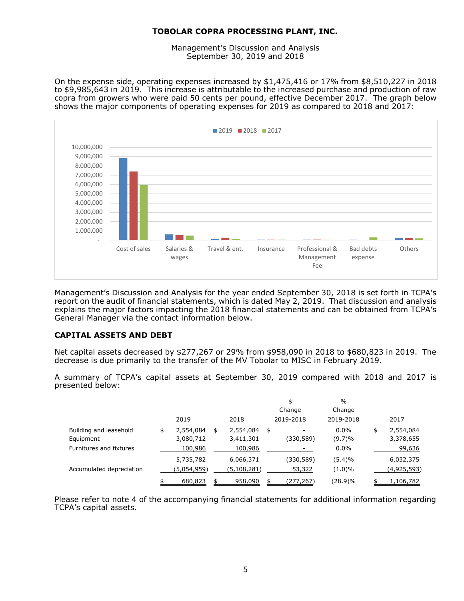# **TOBOLAR COPRA PROCESSING PLANT, INC.**

Management's Discussion and Analysis September 30, 2019 and 2018

On the expense side, operating expenses increased by \$1,475,416 or 17% from \$8,510,227 in 2018 to \$9,985,643 in 2019. This increase is attributable to the increased purchase and production of raw copra from growers who were paid 50 cents per pound, effective December 2017. The graph below shows the major components of operating expenses for 2019 as compared to 2018 and 2017:



Management's Discussion and Analysis for the year ended September 30, 2018 is set forth in TCPA's report on the audit of financial statements, which is dated May 2, 2019. That discussion and analysis explains the major factors impacting the 2018 financial statements and can be obtained from TCPA's General Manager via the contact information below.

# **CAPITAL ASSETS AND DEBT**

Net capital assets decreased by \$277,267 or 29% from \$958,090 in 2018 to \$680,823 in 2019. The decrease is due primarily to the transfer of the MV Tobolar to MISC in February 2019.

A summary of TCPA's capital assets at September 30, 2019 compared with 2018 and 2017 is presented below:

|                                     | 2019                     | 2018                         | \$<br>Change<br>2019-2018 | $\frac{0}{0}$<br>Change<br>2019-2018 | 2017                         |
|-------------------------------------|--------------------------|------------------------------|---------------------------|--------------------------------------|------------------------------|
| Building and leasehold<br>Equipment | 2,554,084<br>3,080,712   | \$<br>2,554,084<br>3,411,301 | \$<br>(330, 589)          | $0.0\%$<br>(9.7)%                    | \$<br>2,554,084<br>3,378,655 |
| Furnitures and fixtures             | 100,986                  | 100,986                      |                           | $0.0\%$                              | 99,636                       |
| Accumulated depreciation            | 5,735,782<br>(5,054,959) | 6,066,371<br>(5,108,281)     | (330,589)<br>53,322       | (5.4)%<br>$(1.0)\%$                  | 6,032,375<br>(4,925,593)     |
|                                     | 680,823                  | 958,090                      | (277,267)                 | $(28.9)\%$                           | 1,106,782                    |

Please refer to note 4 of the accompanying financial statements for additional information regarding TCPA's capital assets.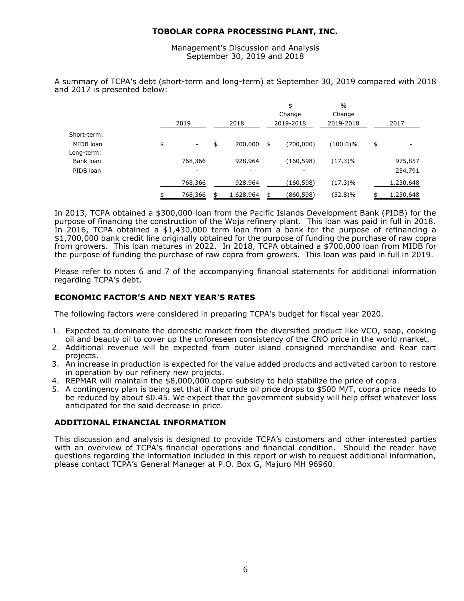# **TOBOLAR COPRA PROCESSING PLANT, INC.**

Management's Discussion and Analysis September 30, 2019 and 2018

A summary of TCPA's debt (short-term and long-term) at September 30, 2019 compared with 2018 and 2017 is presented below:

|             | 2019    | 2018      | \$<br>Change<br>2019-2018 | $\frac{0}{0}$<br>Change<br>2019-2018 | 2017      |
|-------------|---------|-----------|---------------------------|--------------------------------------|-----------|
| Short-term: |         |           |                           |                                      |           |
| MIDB loan   |         | 700,000   | \$<br>(700,000)           | (100.0)%                             | \$        |
| Long-term:  |         |           |                           |                                      |           |
| Bank loan   | 768,366 | 928,964   | (160, 598)                | $(17.3)\%$                           | 975,857   |
| PIDB loan   |         |           |                           |                                      | 254,791   |
|             | 768,366 | 928,964   | (160,598)                 | $(17.3)\%$                           | 1,230,648 |
|             | 768,366 | 1,628,964 | (860,598)                 | $(52.8)\%$                           | 1,230,648 |

In 2013, TCPA obtained a \$300,000 loan from the Pacific Islands Development Bank (PIDB) for the purpose of financing the construction of the Woja refinery plant. This loan was paid in full in 2018. In 2016, TCPA obtained a \$1,430,000 term loan from a bank for the purpose of refinancing a \$1,700,000 bank credit line originally obtained for the purpose of funding the purchase of raw copra from growers. This loan matures in 2022. In 2018, TCPA obtained a \$700,000 loan from MIDB for the purpose of funding the purchase of raw copra from growers. This loan was paid in full in 2019.

Please refer to notes 6 and 7 of the accompanying financial statements for additional information regarding TCPA's debt.

# **ECONOMIC FACTOR'S AND NEXT YEAR'S RATES**

The following factors were considered in preparing TCPA's budget for fiscal year 2020.

- 1. Expected to dominate the domestic market from the diversified product like VCO, soap, cooking oil and beauty oil to cover up the unforeseen consistency of the CNO price in the world market.
- 2. Additional revenue will be expected from outer island consigned merchandise and Rear cart projects.
- 3. An increase in production is expected for the value added products and activated carbon to restore in operation by our refinery new projects.
- 4. REPMAR will maintain the \$8,000,000 copra subsidy to help stabilize the price of copra.
- 5. A contingency plan is being set that if the crude oil price drops to \$500 M/T, copra price needs to be reduced by about \$0.45. We expect that the government subsidy will help offset whatever loss anticipated for the said decrease in price.

#### **ADDITIONAL FINANCIAL INFORMATION**

This discussion and analysis is designed to provide TCPA's customers and other interested parties with an overview of TCPA's financial operations and financial condition. Should the reader have questions regarding the information included in this report or wish to request additional information, please contact TCPA's General Manager at P.O. Box G, Majuro MH 96960.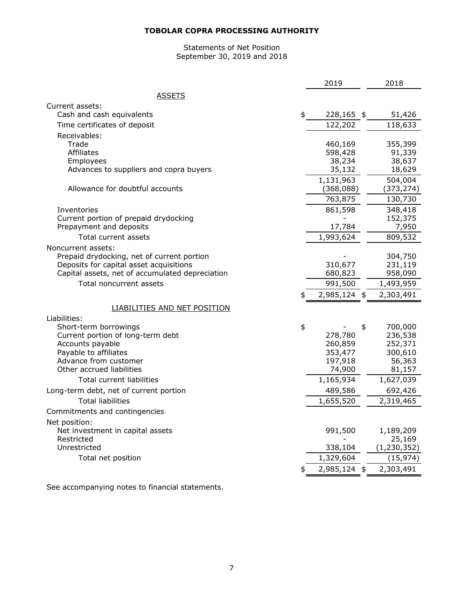#### Statements of Net Position September 30, 2019 and 2018

|                                                                                            | 2019               | 2018               |
|--------------------------------------------------------------------------------------------|--------------------|--------------------|
| ASSETS                                                                                     |                    |                    |
| Current assets:                                                                            |                    |                    |
| Cash and cash equivalents                                                                  | \$<br>228,165 \$   | 51,426             |
| Time certificates of deposit                                                               | 122,202            | 118,633            |
| Receivables:                                                                               |                    |                    |
| Trade                                                                                      | 460,169            | 355,399            |
| <b>Affiliates</b>                                                                          | 598,428            | 91,339             |
| Employees                                                                                  | 38,234             | 38,637             |
| Advances to suppliers and copra buyers                                                     | 35,132             | 18,629             |
|                                                                                            | 1,131,963          | 504,004            |
| Allowance for doubtful accounts                                                            | (368, 088)         | (373, 274)         |
|                                                                                            | 763,875            | 130,730            |
| Inventories                                                                                | 861,598            | 348,418            |
| Current portion of prepaid drydocking                                                      |                    | 152,375            |
| Prepayment and deposits                                                                    | 17,784             | 7,950              |
| Total current assets                                                                       | 1,993,624          | 809,532            |
| Noncurrent assets:                                                                         |                    |                    |
| Prepaid drydocking, net of current portion                                                 |                    | 304,750            |
| Deposits for capital asset acquisitions<br>Capital assets, net of accumulated depreciation | 310,677            | 231,119            |
|                                                                                            | 680,823            | 958,090            |
| Total noncurrent assets                                                                    | 991,500            | 1,493,959          |
|                                                                                            | 2,985,124          | \$<br>2,303,491    |
| LIABILITIES AND NET POSITION                                                               |                    |                    |
| Liabilities:                                                                               |                    |                    |
| Short-term borrowings                                                                      | \$                 | \$<br>700,000      |
| Current portion of long-term debt                                                          | 278,780            | 236,538            |
| Accounts payable<br>Payable to affiliates                                                  | 260,859<br>353,477 | 252,371<br>300,610 |
| Advance from customer                                                                      | 197,918            | 56,363             |
| Other accrued liabilities                                                                  | 74,900             | 81,157             |
| Total current liabilities                                                                  | 1,165,934          | 1,627,039          |
| Long-term debt, net of current portion                                                     | 489,586            | 692,426            |
| <b>Total liabilities</b>                                                                   | 1,655,520          | 2,319,465          |
| Commitments and contingencies                                                              |                    |                    |
| Net position:                                                                              |                    |                    |
| Net investment in capital assets                                                           | 991,500            | 1,189,209          |
| Restricted                                                                                 |                    | 25,169             |
| Unrestricted                                                                               | 338,104            | (1, 230, 352)      |
| Total net position                                                                         | 1,329,604          | (15, 974)          |
|                                                                                            | \$<br>2,985,124    | \$<br>2,303,491    |

See accompanying notes to financial statements.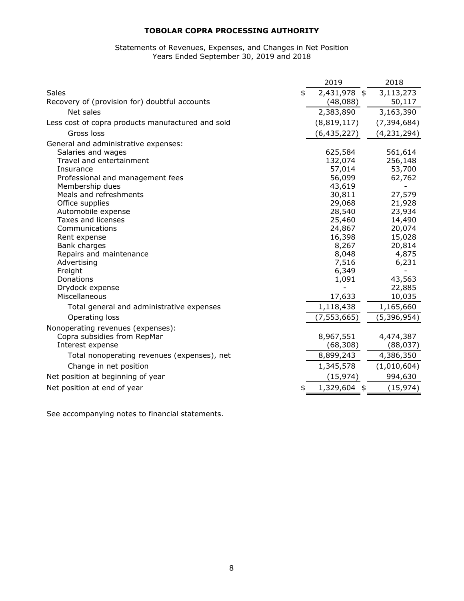#### Statements of Revenues, Expenses, and Changes in Net Position Years Ended September 30, 2019 and 2018

|                                                   | 2019               | 2018          |
|---------------------------------------------------|--------------------|---------------|
| Sales                                             | \$<br>2,431,978 \$ | 3,113,273     |
| Recovery of (provision for) doubtful accounts     | (48,088)           | 50,117        |
| Net sales                                         | 2,383,890          | 3,163,390     |
| Less cost of copra products manufactured and sold | (8, 819, 117)      | (7, 394, 684) |
| Gross loss                                        | (6, 435, 227)      | (4, 231, 294) |
| General and administrative expenses:              |                    |               |
| Salaries and wages                                | 625,584            | 561,614       |
| Travel and entertainment                          | 132,074            | 256,148       |
| Insurance                                         | 57,014             | 53,700        |
| Professional and management fees                  | 56,099             | 62,762        |
| Membership dues                                   | 43,619             |               |
| Meals and refreshments                            | 30,811             | 27,579        |
| Office supplies                                   | 29,068             | 21,928        |
| Automobile expense                                | 28,540             | 23,934        |
| <b>Taxes and licenses</b>                         | 25,460             | 14,490        |
| Communications                                    | 24,867             | 20,074        |
| Rent expense                                      | 16,398             | 15,028        |
| Bank charges                                      | 8,267              | 20,814        |
| Repairs and maintenance                           | 8,048              | 4,875         |
| Advertising                                       | 7,516              | 6,231         |
| Freight                                           | 6,349              |               |
| Donations                                         | 1,091              | 43,563        |
| Drydock expense                                   |                    | 22,885        |
| Miscellaneous                                     | 17,633             | 10,035        |
| Total general and administrative expenses         | 1,118,438          | 1,165,660     |
| Operating loss                                    | (7, 553, 665)      | (5,396,954)   |
| Nonoperating revenues (expenses):                 |                    |               |
| Copra subsidies from RepMar                       | 8,967,551          | 4,474,387     |
| Interest expense                                  | (68, 308)          | (88, 037)     |
| Total nonoperating revenues (expenses), net       | 8,899,243          | 4,386,350     |
| Change in net position                            | 1,345,578          | (1,010,604)   |
| Net position at beginning of year                 | (15, 974)          | 994,630       |
| Net position at end of year                       | 1,329,604 \$       | (15, 974)     |

See accompanying notes to financial statements.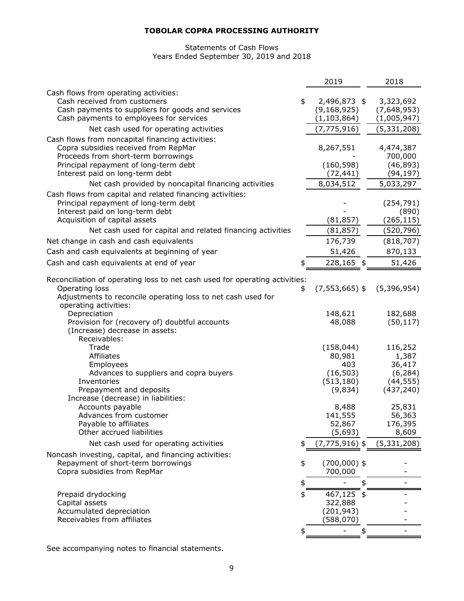#### Statements of Cash Flows Years Ended September 30, 2019 and 2018

|                                                                             | 2019                                 | 2018                |
|-----------------------------------------------------------------------------|--------------------------------------|---------------------|
| Cash flows from operating activities:                                       |                                      |                     |
| Cash received from customers                                                | \$<br>2,496,873 \$                   | 3,323,692           |
| Cash payments to suppliers for goods and services                           | (9, 168, 925)                        | (7,648,953)         |
| Cash payments to employees for services                                     | (1, 103, 864)                        | (1,005,947)         |
| Net cash used for operating activities                                      | (7, 775, 916)                        | (5, 331, 208)       |
| Cash flows from noncapital financing activities:                            |                                      |                     |
| Copra subsidies received from RepMar                                        | 8,267,551                            | 4,474,387           |
| Proceeds from short-term borrowings                                         |                                      | 700,000             |
| Principal repayment of long-term debt                                       | (160, 598)                           | (46, 893)           |
| Interest paid on long-term debt                                             | (72, 441)                            | (94, 197)           |
| Net cash provided by noncapital financing activities                        | 8,034,512                            | 5,033,297           |
| Cash flows from capital and related financing activities:                   |                                      |                     |
| Principal repayment of long-term debt                                       |                                      | (254, 791)          |
| Interest paid on long-term debt<br>Acquisition of capital assets            | (81, 857)                            | (890)<br>(265, 115) |
| Net cash used for capital and related financing activities                  | (81, 857)                            | (520, 796)          |
| Net change in cash and cash equivalents                                     | 176,739                              | (818, 707)          |
| Cash and cash equivalents at beginning of year                              | 51,426                               | 870,133             |
|                                                                             |                                      |                     |
| Cash and cash equivalents at end of year                                    | \$<br>228,165 \$                     | 51,426              |
| Reconciliation of operating loss to net cash used for operating activities: |                                      |                     |
| Operating loss                                                              | \$<br>$(7, 553, 665)$ \$             | (5,396,954)         |
| Adjustments to reconcile operating loss to net cash used for                |                                      |                     |
| operating activities:                                                       |                                      |                     |
| Depreciation                                                                | 148,621                              | 182,688             |
| Provision for (recovery of) doubtful accounts                               | 48,088                               | (50, 117)           |
| (Increase) decrease in assets:                                              |                                      |                     |
| Receivables:                                                                |                                      |                     |
| Trade                                                                       | (158, 044)                           | 116,252             |
| Affiliates                                                                  | 80,981<br>403                        | 1,387               |
| Employees<br>Advances to suppliers and copra buyers                         | (16, 503)                            | 36,417<br>(6, 284)  |
| Inventories                                                                 | (513, 180)                           | (44, 555)           |
| Prepayment and deposits                                                     | (9,834)                              | (437, 240)          |
| Increase (decrease) in liabilities:                                         |                                      |                     |
| Accounts payable                                                            | 8,488                                | 25,831              |
| Advances from customer                                                      | 141,555                              | 56,363              |
| Payable to affiliates                                                       | 52,867                               | 176,395             |
| Other accrued liabilities                                                   | (5,693)                              | 8,609               |
| Net cash used for operating activities                                      | $(7, 775, 916)$ \$                   | (5, 331, 208)       |
| Noncash investing, capital, and financing activities:                       |                                      |                     |
| Repayment of short-term borrowings                                          | \$<br>$(700,000)$ \$                 |                     |
| Copra subsidies from RepMar                                                 | 700,000                              |                     |
|                                                                             | \$                                   | $\overline{a}$      |
| Prepaid drydocking                                                          | \$<br>467,125<br>\$                  |                     |
| Capital assets                                                              | 322,888                              |                     |
| Accumulated depreciation                                                    | (201, 943)                           |                     |
| Receivables from affiliates                                                 | (588, 070)                           |                     |
|                                                                             | \$<br>$\overline{\phantom{a}}$<br>\$ | $\blacksquare$      |

See accompanying notes to financial statements.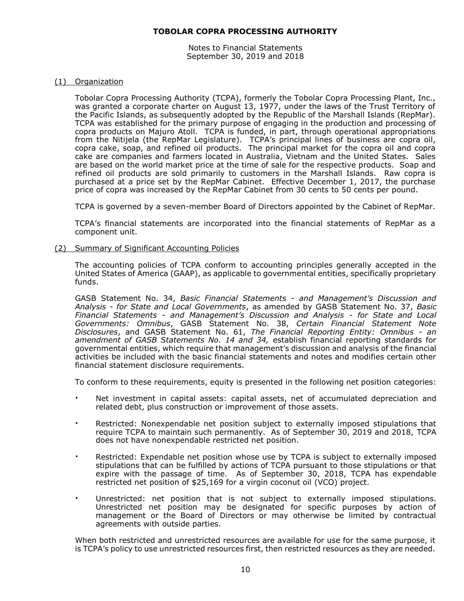Notes to Financial Statements September 30, 2019 and 2018

# (1) Organization

Tobolar Copra Processing Authority (TCPA), formerly the Tobolar Copra Processing Plant, Inc., was granted a corporate charter on August 13, 1977, under the laws of the Trust Territory of the Pacific Islands, as subsequently adopted by the Republic of the Marshall Islands (RepMar). TCPA was established for the primary purpose of engaging in the production and processing of copra products on Majuro Atoll. TCPA is funded, in part, through operational appropriations from the Nitijela (the RepMar Legislature). TCPA's principal lines of business are copra oil, copra cake, soap, and refined oil products. The principal market for the copra oil and copra cake are companies and farmers located in Australia, Vietnam and the United States. Sales are based on the world market price at the time of sale for the respective products. Soap and refined oil products are sold primarily to customers in the Marshall Islands. Raw copra is purchased at a price set by the RepMar Cabinet. Effective December 1, 2017, the purchase price of copra was increased by the RepMar Cabinet from 30 cents to 50 cents per pound.

TCPA is governed by a seven-member Board of Directors appointed by the Cabinet of RepMar.

TCPA's financial statements are incorporated into the financial statements of RepMar as a component unit.

(2) Summary of Significant Accounting Policies

The accounting policies of TCPA conform to accounting principles generally accepted in the United States of America (GAAP), as applicable to governmental entities, specifically proprietary funds.

GASB Statement No. 34, *Basic Financial Statements - and Management's Discussion and Analysis - for State and Local Governments*, as amended by GASB Statement No. 37, *Basic Financial Statements - and Management's Discussion and Analysis - for State and Local Governments: Omnibus*, GASB Statement No. 38, *Certain Financial Statement Note Disclosures*, and GASB Statement No. 61, *The Financial Reporting Entity: Omnibus - an amendment of GASB Statements No. 14 and 34,* establish financial reporting standards for governmental entities, which require that management's discussion and analysis of the financial activities be included with the basic financial statements and notes and modifies certain other financial statement disclosure requirements.

To conform to these requirements, equity is presented in the following net position categories:

- Net investment in capital assets: capital assets, net of accumulated depreciation and related debt, plus construction or improvement of those assets.
- Restricted: Nonexpendable net position subject to externally imposed stipulations that require TCPA to maintain such permanently. As of September 30, 2019 and 2018, TCPA does not have nonexpendable restricted net position.
- Restricted: Expendable net position whose use by TCPA is subject to externally imposed stipulations that can be fulfilled by actions of TCPA pursuant to those stipulations or that expire with the passage of time. As of September 30, 2018, TCPA has expendable restricted net position of \$25,169 for a virgin coconut oil (VCO) project.
- Unrestricted: net position that is not subject to externally imposed stipulations. Unrestricted net position may be designated for specific purposes by action of management or the Board of Directors or may otherwise be limited by contractual agreements with outside parties.

When both restricted and unrestricted resources are available for use for the same purpose, it is TCPA's policy to use unrestricted resources first, then restricted resources as they are needed.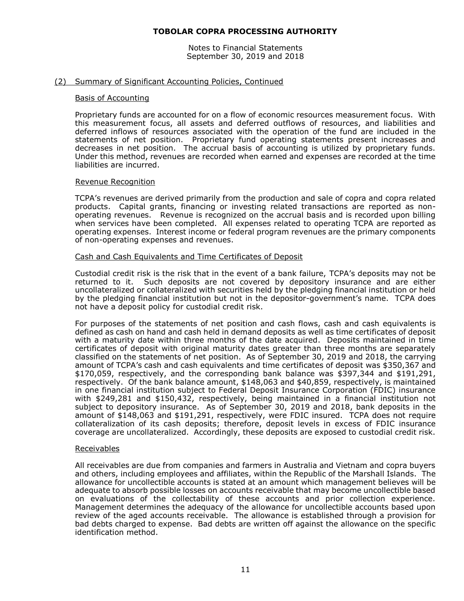Notes to Financial Statements September 30, 2019 and 2018

### (2) Summary of Significant Accounting Policies, Continued

#### Basis of Accounting

Proprietary funds are accounted for on a flow of economic resources measurement focus. With this measurement focus, all assets and deferred outflows of resources, and liabilities and deferred inflows of resources associated with the operation of the fund are included in the statements of net position. Proprietary fund operating statements present increases and decreases in net position. The accrual basis of accounting is utilized by proprietary funds. Under this method, revenues are recorded when earned and expenses are recorded at the time liabilities are incurred.

#### Revenue Recognition

TCPA's revenues are derived primarily from the production and sale of copra and copra related products. Capital grants, financing or investing related transactions are reported as nonoperating revenues. Revenue is recognized on the accrual basis and is recorded upon billing when services have been completed. All expenses related to operating TCPA are reported as operating expenses. Interest income or federal program revenues are the primary components of non-operating expenses and revenues.

#### Cash and Cash Equivalents and Time Certificates of Deposit

Custodial credit risk is the risk that in the event of a bank failure, TCPA's deposits may not be returned to it. Such deposits are not covered by depository insurance and are either uncollateralized or collateralized with securities held by the pledging financial institution or held by the pledging financial institution but not in the depositor-government's name. TCPA does not have a deposit policy for custodial credit risk.

For purposes of the statements of net position and cash flows, cash and cash equivalents is defined as cash on hand and cash held in demand deposits as well as time certificates of deposit with a maturity date within three months of the date acquired. Deposits maintained in time certificates of deposit with original maturity dates greater than three months are separately classified on the statements of net position. As of September 30, 2019 and 2018, the carrying amount of TCPA's cash and cash equivalents and time certificates of deposit was \$350,367 and \$170,059, respectively, and the corresponding bank balance was \$397,344 and \$191,291, respectively. Of the bank balance amount, \$148,063 and \$40,859, respectively, is maintained in one financial institution subject to Federal Deposit Insurance Corporation (FDIC) insurance with \$249,281 and \$150,432, respectively, being maintained in a financial institution not subject to depository insurance. As of September 30, 2019 and 2018, bank deposits in the amount of \$148,063 and \$191,291, respectively, were FDIC insured. TCPA does not require collateralization of its cash deposits; therefore, deposit levels in excess of FDIC insurance coverage are uncollateralized. Accordingly, these deposits are exposed to custodial credit risk.

#### Receivables

All receivables are due from companies and farmers in Australia and Vietnam and copra buyers and others, including employees and affiliates, within the Republic of the Marshall Islands. The allowance for uncollectible accounts is stated at an amount which management believes will be adequate to absorb possible losses on accounts receivable that may become uncollectible based on evaluations of the collectability of these accounts and prior collection experience. Management determines the adequacy of the allowance for uncollectible accounts based upon review of the aged accounts receivable. The allowance is established through a provision for bad debts charged to expense. Bad debts are written off against the allowance on the specific identification method.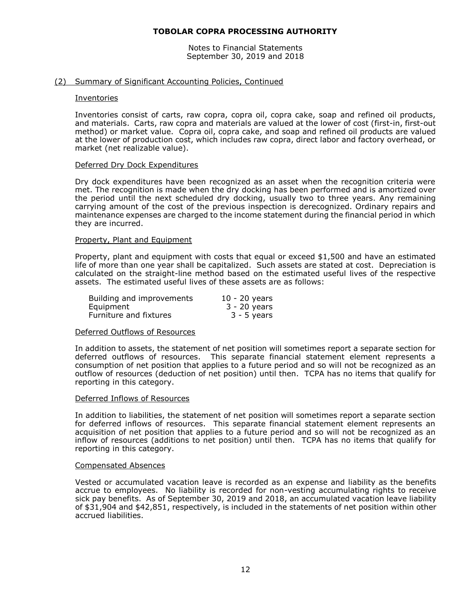Notes to Financial Statements September 30, 2019 and 2018

### (2) Summary of Significant Accounting Policies, Continued

#### Inventories

Inventories consist of carts, raw copra, copra oil, copra cake, soap and refined oil products, and materials. Carts, raw copra and materials are valued at the lower of cost (first-in, first-out method) or market value. Copra oil, copra cake, and soap and refined oil products are valued at the lower of production cost, which includes raw copra, direct labor and factory overhead, or market (net realizable value).

#### Deferred Dry Dock Expenditures

Dry dock expenditures have been recognized as an asset when the recognition criteria were met. The recognition is made when the dry docking has been performed and is amortized over the period until the next scheduled dry docking, usually two to three years. Any remaining carrying amount of the cost of the previous inspection is derecognized. Ordinary repairs and maintenance expenses are charged to the income statement during the financial period in which they are incurred.

#### Property, Plant and Equipment

Property, plant and equipment with costs that equal or exceed \$1,500 and have an estimated life of more than one year shall be capitalized. Such assets are stated at cost. Depreciation is calculated on the straight-line method based on the estimated useful lives of the respective assets. The estimated useful lives of these assets are as follows:

| Building and improvements | $10 - 20$ years |
|---------------------------|-----------------|
| Equipment                 | 3 - 20 years    |
| Furniture and fixtures    | $3 - 5$ years   |

#### Deferred Outflows of Resources

In addition to assets, the statement of net position will sometimes report a separate section for deferred outflows of resources. This separate financial statement element represents a consumption of net position that applies to a future period and so will not be recognized as an outflow of resources (deduction of net position) until then. TCPA has no items that qualify for reporting in this category.

#### Deferred Inflows of Resources

In addition to liabilities, the statement of net position will sometimes report a separate section for deferred inflows of resources. This separate financial statement element represents an acquisition of net position that applies to a future period and so will not be recognized as an inflow of resources (additions to net position) until then. TCPA has no items that qualify for reporting in this category.

#### Compensated Absences

Vested or accumulated vacation leave is recorded as an expense and liability as the benefits accrue to employees. No liability is recorded for non-vesting accumulating rights to receive sick pay benefits. As of September 30, 2019 and 2018, an accumulated vacation leave liability of \$31,904 and \$42,851, respectively, is included in the statements of net position within other accrued liabilities.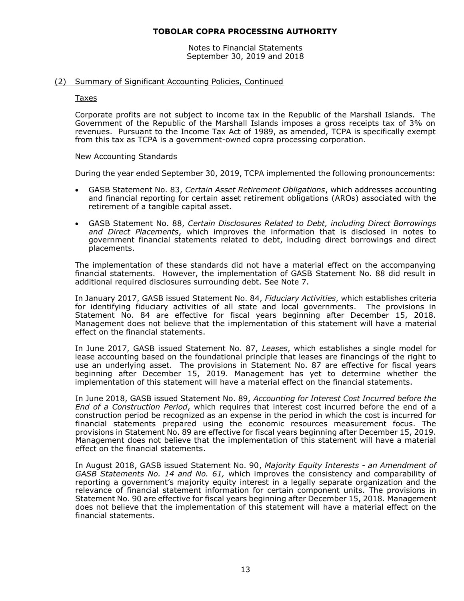Notes to Financial Statements September 30, 2019 and 2018

# (2) Summary of Significant Accounting Policies, Continued

#### Taxes

Corporate profits are not subject to income tax in the Republic of the Marshall Islands. The Government of the Republic of the Marshall Islands imposes a gross receipts tax of 3% on revenues. Pursuant to the Income Tax Act of 1989, as amended, TCPA is specifically exempt from this tax as TCPA is a government-owned copra processing corporation.

#### New Accounting Standards

During the year ended September 30, 2019, TCPA implemented the following pronouncements:

- GASB Statement No. 83, *Certain Asset Retirement Obligations*, which addresses accounting and financial reporting for certain asset retirement obligations (AROs) associated with the retirement of a tangible capital asset.
- GASB Statement No. 88, *Certain Disclosures Related to Debt, including Direct Borrowings and Direct Placements*, which improves the information that is disclosed in notes to government financial statements related to debt, including direct borrowings and direct placements.

The implementation of these standards did not have a material effect on the accompanying financial statements. However, the implementation of GASB Statement No. 88 did result in additional required disclosures surrounding debt. See Note 7.

In January 2017, GASB issued Statement No. 84, *Fiduciary Activities*, which establishes criteria for identifying fiduciary activities of all state and local governments. The provisions in Statement No. 84 are effective for fiscal years beginning after December 15, 2018. Management does not believe that the implementation of this statement will have a material effect on the financial statements.

In June 2017, GASB issued Statement No. 87, *Leases*, which establishes a single model for lease accounting based on the foundational principle that leases are financings of the right to use an underlying asset. The provisions in Statement No. 87 are effective for fiscal years beginning after December 15, 2019. Management has yet to determine whether the implementation of this statement will have a material effect on the financial statements.

In June 2018, GASB issued Statement No. 89, *Accounting for Interest Cost Incurred before the End of a Construction Period*, which requires that interest cost incurred before the end of a construction period be recognized as an expense in the period in which the cost is incurred for financial statements prepared using the economic resources measurement focus. The provisions in Statement No. 89 are effective for fiscal years beginning after December 15, 2019. Management does not believe that the implementation of this statement will have a material effect on the financial statements.

In August 2018, GASB issued Statement No. 90, *Majority Equity Interests - an Amendment of GASB Statements No. 14 and No. 61,* which improves the consistency and comparability of reporting a government's majority equity interest in a legally separate organization and the relevance of financial statement information for certain component units. The provisions in Statement No. 90 are effective for fiscal years beginning after December 15, 2018. Management does not believe that the implementation of this statement will have a material effect on the financial statements.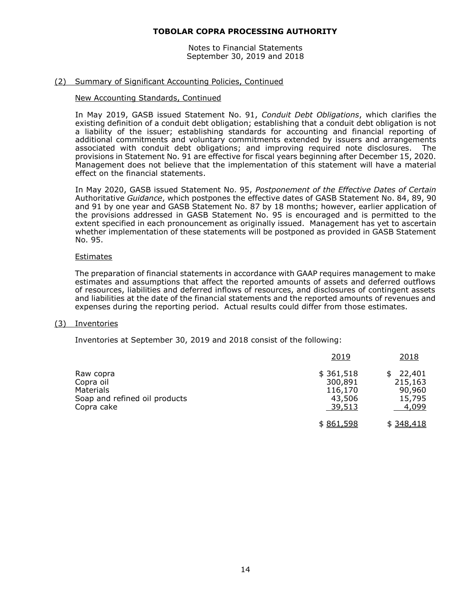Notes to Financial Statements September 30, 2019 and 2018

### (2) Summary of Significant Accounting Policies, Continued

#### New Accounting Standards, Continued

In May 2019, GASB issued Statement No. 91, *Conduit Debt Obligations*, which clarifies the existing definition of a conduit debt obligation; establishing that a conduit debt obligation is not a liability of the issuer; establishing standards for accounting and financial reporting of additional commitments and voluntary commitments extended by issuers and arrangements associated with conduit debt obligations; and improving required note disclosures. The provisions in Statement No. 91 are effective for fiscal years beginning after December 15, 2020. Management does not believe that the implementation of this statement will have a material effect on the financial statements.

In May 2020, GASB issued Statement No. 95, *Postponement of the Effective Dates of Certain*  Authoritative *Guidance*, which postpones the effective dates of GASB Statement No. 84, 89, 90 and 91 by one year and GASB Statement No. 87 by 18 months; however, earlier application of the provisions addressed in GASB Statement No. 95 is encouraged and is permitted to the extent specified in each pronouncement as originally issued. Management has yet to ascertain whether implementation of these statements will be postponed as provided in GASB Statement No. 95.

#### Estimates

The preparation of financial statements in accordance with GAAP requires management to make estimates and assumptions that affect the reported amounts of assets and deferred outflows of resources, liabilities and deferred inflows of resources, and disclosures of contingent assets and liabilities at the date of the financial statements and the reported amounts of revenues and expenses during the reporting period. Actual results could differ from those estimates.

#### (3) Inventories

Inventories at September 30, 2019 and 2018 consist of the following:

|                                                                                    | 2019                                                | 2018                                                 |
|------------------------------------------------------------------------------------|-----------------------------------------------------|------------------------------------------------------|
| Raw copra<br>Copra oil<br>Materials<br>Soap and refined oil products<br>Copra cake | \$361,518<br>300,891<br>116,170<br>43,506<br>39,513 | 22,401<br>S.<br>215,163<br>90,960<br>15,795<br>4,099 |
|                                                                                    | \$861,598                                           | \$348,418                                            |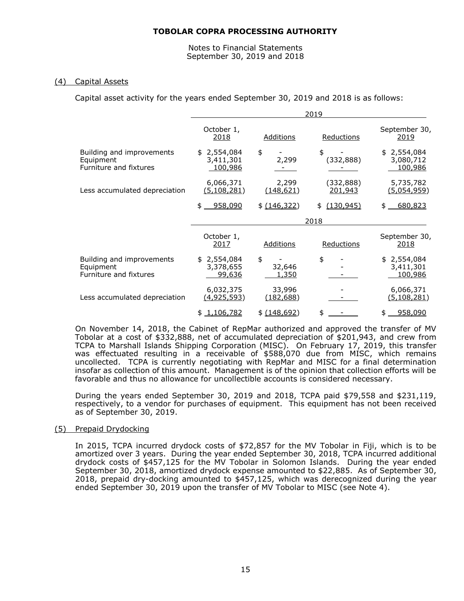Notes to Financial Statements September 30, 2019 and 2018

# (4) Capital Assets

Capital asset activity for the years ended September 30, 2019 and 2018 is as follows:

|                                                                  |                                        |                       | 2019                         |                                         |
|------------------------------------------------------------------|----------------------------------------|-----------------------|------------------------------|-----------------------------------------|
|                                                                  | October 1,<br><u> 2018 </u>            | Additions             | Reductions                   | September 30,<br><u>2019</u>            |
| Building and improvements<br>Equipment<br>Furniture and fixtures | \$ 2,554,084<br>3,411,301<br>100,986   | \$<br>2,299           | \$<br>(332, 888)             | 2,554,084<br>\$<br>3,080,712<br>100,986 |
| Less accumulated depreciation                                    | 6,066,371<br><u>(5,108,281)</u>        | 2,299<br>(148, 621)   | (332, 888)<br><u>201,943</u> | 5,735,782<br>(5,054,959)                |
|                                                                  | 958,090<br>\$                          | \$ (146, 322)         | (130, 945)<br>\$             | 680,823<br>\$                           |
|                                                                  |                                        |                       | 2018                         |                                         |
|                                                                  | October 1,<br><u> 2017 </u>            | Additions             | Reductions                   | September 30,<br>2018                   |
| Building and improvements<br>Equipment<br>Furniture and fixtures | 2,554,084<br>\$<br>3,378,655<br>99,636 | \$<br>32,646<br>1,350 | \$                           | 2,554,084<br>\$<br>3,411,301<br>100,986 |
| Less accumulated depreciation                                    | 6,032,375<br><u>(4,925,593)</u>        | 33,996<br>(182, 688)  |                              | 6,066,371<br><u>(5,108,281)</u>         |
|                                                                  | 1,106,782<br>\$                        | \$ (148, 692)         | \$                           | 958,090                                 |

On November 14, 2018, the Cabinet of RepMar authorized and approved the transfer of MV Tobolar at a cost of \$332,888, net of accumulated depreciation of \$201,943, and crew from TCPA to Marshall Islands Shipping Corporation (MISC). On February 17, 2019, this transfer was effectuated resulting in a receivable of \$588,070 due from MISC, which remains uncollected. TCPA is currently negotiating with RepMar and MISC for a final determination insofar as collection of this amount. Management is of the opinion that collection efforts will be favorable and thus no allowance for uncollectible accounts is considered necessary.

During the years ended September 30, 2019 and 2018, TCPA paid \$79,558 and \$231,119, respectively, to a vendor for purchases of equipment. This equipment has not been received as of September 30, 2019.

# (5) Prepaid Drydocking

In 2015, TCPA incurred drydock costs of \$72,857 for the MV Tobolar in Fiji, which is to be amortized over 3 years. During the year ended September 30, 2018, TCPA incurred additional drydock costs of \$457,125 for the MV Tobolar in Solomon Islands. During the year ended September 30, 2018, amortized drydock expense amounted to \$22,885. As of September 30, 2018, prepaid dry-docking amounted to \$457,125, which was derecognized during the year ended September 30, 2019 upon the transfer of MV Tobolar to MISC (see Note 4).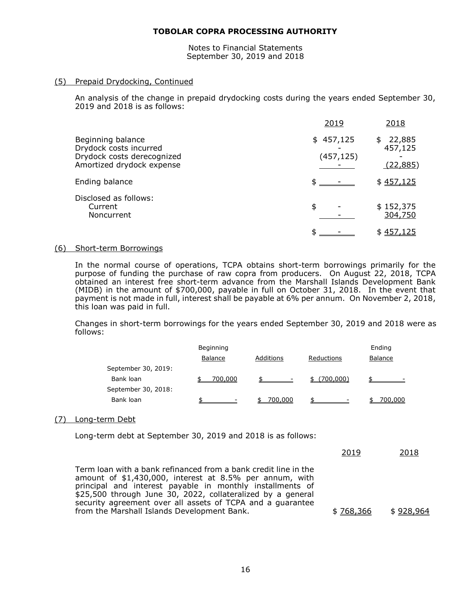Notes to Financial Statements September 30, 2019 and 2018

### (5) Prepaid Drydocking, Continued

An analysis of the change in prepaid drydocking costs during the years ended September 30, 2019 and 2018 is as follows:

|                                                                                                        | 2019                    | 2018                                 |
|--------------------------------------------------------------------------------------------------------|-------------------------|--------------------------------------|
| Beginning balance<br>Drydock costs incurred<br>Drydock costs derecognized<br>Amortized drydock expense | \$457,125<br>(457, 125) | 22,885<br>\$<br>457,125<br>(22, 885) |
| Ending balance                                                                                         |                         | \$457,125                            |
| Disclosed as follows:<br>Current<br>Noncurrent                                                         | \$                      | \$152,375<br>304,750                 |
|                                                                                                        | \$                      | \$457,125                            |

#### (6) Short-term Borrowings

In the normal course of operations, TCPA obtains short-term borrowings primarily for the purpose of funding the purchase of raw copra from producers. On August 22, 2018, TCPA obtained an interest free short-term advance from the Marshall Islands Development Bank (MIDB) in the amount of \$700,000, payable in full on October 31, 2018. In the event that payment is not made in full, interest shall be payable at 6% per annum. On November 2, 2018, this loan was paid in full.

Changes in short-term borrowings for the years ended September 30, 2019 and 2018 were as follows:

|                     | Beginning |           |              | Ending  |
|---------------------|-----------|-----------|--------------|---------|
|                     | Balance   | Additions | Reductions   | Balance |
| September 30, 2019: |           |           |              |         |
| Bank loan           | 700.000   |           | \$ (700.000) |         |
| September 30, 2018: |           |           |              |         |
| Bank loan           |           | 700,000   |              | 700.000 |

#### (7) Long-term Debt

Long-term debt at September 30, 2019 and 2018 is as follows:

| Term loan with a bank refinanced from a bank credit line in the<br>amount of $$1,430,000$ , interest at 8.5% per annum, with<br>principal and interest payable in monthly installments of<br>\$25,500 through June 30, 2022, collateralized by a general |                                                            | 2019 | 2018      |
|----------------------------------------------------------------------------------------------------------------------------------------------------------------------------------------------------------------------------------------------------------|------------------------------------------------------------|------|-----------|
| from the Marshall Islands Development Bank.<br>\$768,366                                                                                                                                                                                                 | security agreement over all assets of TCPA and a guarantee |      | \$928,964 |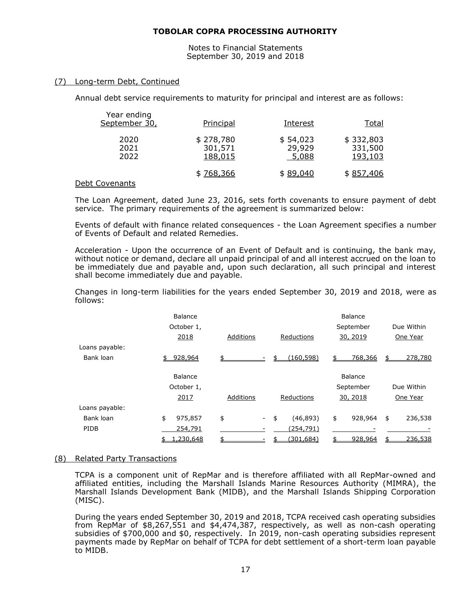Notes to Financial Statements September 30, 2019 and 2018

# (7) Long-term Debt, Continued

Annual debt service requirements to maturity for principal and interest are as follows:

| Year ending<br>September 30, | Principal                       | Interest                    | Total                           |
|------------------------------|---------------------------------|-----------------------------|---------------------------------|
| 2020<br>2021<br>2022         | \$278,780<br>301,571<br>188,015 | \$54,023<br>29,929<br>5,088 | \$332,803<br>331,500<br>193,103 |
|                              | \$768,366                       | \$89,040                    | \$857,406                       |

# Debt Covenants

The Loan Agreement, dated June 23, 2016, sets forth covenants to ensure payment of debt service. The primary requirements of the agreement is summarized below:

Events of default with finance related consequences - the Loan Agreement specifies a number of Events of Default and related Remedies.

Acceleration - Upon the occurrence of an Event of Default and is continuing, the bank may, without notice or demand, declare all unpaid principal of and all interest accrued on the loan to be immediately due and payable and, upon such declaration, all such principal and interest shall become immediately due and payable.

Changes in long-term liabilities for the years ended September 30, 2019 and 2018, were as follows:

|                | <b>Balance</b> |              |                  | Balance        |               |
|----------------|----------------|--------------|------------------|----------------|---------------|
|                | October 1,     |              |                  | September      | Due Within    |
|                | 2018           | Additions    | Reductions       | 30, 2019       | One Year      |
| Loans payable: |                |              |                  |                |               |
| Bank loan      | 928,964        | \$           | (160, 598)<br>\$ | 768,366<br>\$  | 278,780       |
|                | Balance        |              |                  | <b>Balance</b> |               |
|                | October 1,     |              |                  | September      | Due Within    |
|                | 2017           | Additions    | Reductions       | 30, 2018       | One Year      |
| Loans payable: |                |              |                  |                |               |
| Bank loan      | \$<br>975,857  | \$<br>$\sim$ | \$<br>(46,893)   | \$<br>928,964  | 236,538<br>\$ |
| <b>PIDB</b>    | 254,791        |              | (254,791)        |                |               |
|                | 230,648        | \$           | (301,684)        | 928,964        | 236,538       |

#### (8) Related Party Transactions

TCPA is a component unit of RepMar and is therefore affiliated with all RepMar-owned and affiliated entities, including the Marshall Islands Marine Resources Authority (MIMRA), the Marshall Islands Development Bank (MIDB), and the Marshall Islands Shipping Corporation (MISC).

During the years ended September 30, 2019 and 2018, TCPA received cash operating subsidies from RepMar of \$8,267,551 and \$4,474,387, respectively, as well as non-cash operating subsidies of \$700,000 and \$0, respectively. In 2019, non-cash operating subsidies represent payments made by RepMar on behalf of TCPA for debt settlement of a short-term loan payable to MIDB.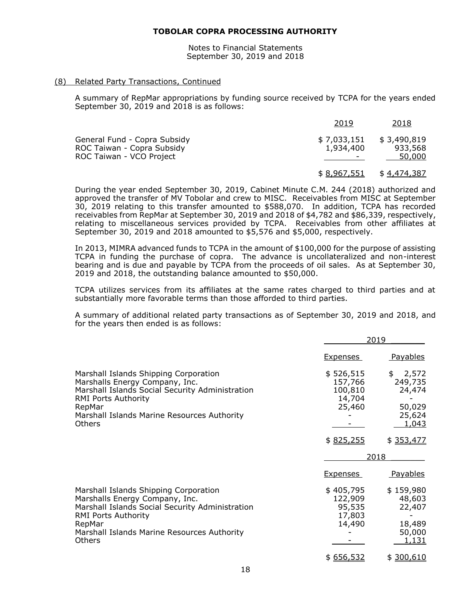Notes to Financial Statements September 30, 2019 and 2018

### (8) Related Party Transactions, Continued

A summary of RepMar appropriations by funding source received by TCPA for the years ended September 30, 2019 and 2018 is as follows:

|                                                                                        | 2019                     | 2018                             |
|----------------------------------------------------------------------------------------|--------------------------|----------------------------------|
| General Fund - Copra Subsidy<br>ROC Taiwan - Copra Subsidy<br>ROC Taiwan - VCO Project | \$7,033,151<br>1,934,400 | \$3,490,819<br>933,568<br>50,000 |
|                                                                                        | \$8,967,551              | \$ 4,474,387                     |

During the year ended September 30, 2019, Cabinet Minute C.M. 244 (2018) authorized and approved the transfer of MV Tobolar and crew to MISC. Receivables from MISC at September 30, 2019 relating to this transfer amounted to \$588,070. In addition, TCPA has recorded receivables from RepMar at September 30, 2019 and 2018 of \$4,782 and \$86,339, respectively, relating to miscellaneous services provided by TCPA. Receivables from other affiliates at September 30, 2019 and 2018 amounted to \$5,576 and \$5,000, respectively.

In 2013, MIMRA advanced funds to TCPA in the amount of \$100,000 for the purpose of assisting TCPA in funding the purchase of copra. The advance is uncollateralized and non-interest bearing and is due and payable by TCPA from the proceeds of oil sales. As at September 30, 2019 and 2018, the outstanding balance amounted to \$50,000.

TCPA utilizes services from its affiliates at the same rates charged to third parties and at substantially more favorable terms than those afforded to third parties.

A summary of additional related party transactions as of September 30, 2019 and 2018, and for the years then ended is as follows:

|                                                                                                                                                                                                                                    | 2019                                                             |                                                                            |
|------------------------------------------------------------------------------------------------------------------------------------------------------------------------------------------------------------------------------------|------------------------------------------------------------------|----------------------------------------------------------------------------|
|                                                                                                                                                                                                                                    | <u>Expenses</u>                                                  | <b>Payables</b>                                                            |
| Marshall Islands Shipping Corporation<br>Marshalls Energy Company, Inc.<br>Marshall Islands Social Security Administration<br>RMI Ports Authority<br>RepMar<br>Marshall Islands Marine Resources Authority<br><b>Others</b>        | \$526,515<br>157,766<br>100,810<br>14,704<br>25,460<br>\$825,255 | 2,572<br>\$<br>249,735<br>24,474<br>50,029<br>25,624<br>1,043<br>\$353,477 |
|                                                                                                                                                                                                                                    |                                                                  | 2018                                                                       |
|                                                                                                                                                                                                                                    | <b>Expenses</b>                                                  | Payables                                                                   |
| Marshall Islands Shipping Corporation<br>Marshalls Energy Company, Inc.<br>Marshall Islands Social Security Administration<br><b>RMI Ports Authority</b><br>RepMar<br>Marshall Islands Marine Resources Authority<br><b>Others</b> | \$405,795<br>122,909<br>95,535<br>17,803<br>14,490               | \$159,980<br>48,603<br>22,407<br>18,489<br>50,000<br><u>1,131</u>          |
|                                                                                                                                                                                                                                    | \$656,532                                                        | \$300,610                                                                  |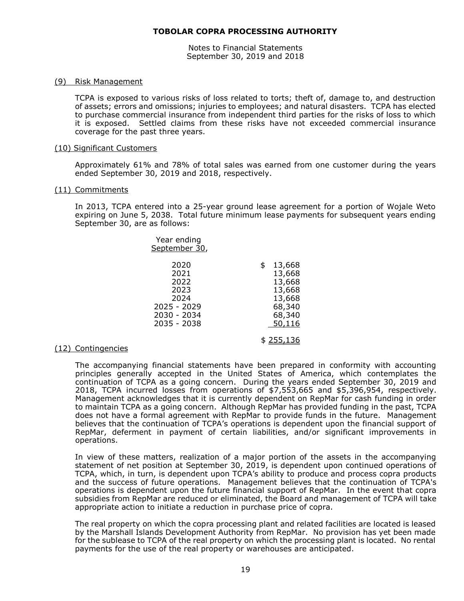Notes to Financial Statements September 30, 2019 and 2018

#### (9) Risk Management

TCPA is exposed to various risks of loss related to torts; theft of, damage to, and destruction of assets; errors and omissions; injuries to employees; and natural disasters. TCPA has elected to purchase commercial insurance from independent third parties for the risks of loss to which it is exposed. Settled claims from these risks have not exceeded commercial insurance coverage for the past three years.

#### (10) Significant Customers

Approximately 61% and 78% of total sales was earned from one customer during the years ended September 30, 2019 and 2018, respectively.

#### (11) Commitments

In 2013, TCPA entered into a 25-year ground lease agreement for a portion of Wojale Weto expiring on June 5, 2038. Total future minimum lease payments for subsequent years ending September 30, are as follows:

| Year ending<br>September 30,                                                      |                                                                                    |
|-----------------------------------------------------------------------------------|------------------------------------------------------------------------------------|
| 2020<br>2021<br>2022<br>2023<br>2024<br>2025 - 2029<br>2030 - 2034<br>2035 - 2038 | \$<br>13,668<br>13,668<br>13,668<br>13,668<br>13,668<br>68,340<br>68,340<br>50,116 |

# \$ 255,136

#### (12) Contingencies

The accompanying financial statements have been prepared in conformity with accounting principles generally accepted in the United States of America, which contemplates the continuation of TCPA as a going concern. During the years ended September 30, 2019 and 2018, TCPA incurred losses from operations of \$7,553,665 and \$5,396,954, respectively. Management acknowledges that it is currently dependent on RepMar for cash funding in order to maintain TCPA as a going concern. Although RepMar has provided funding in the past, TCPA does not have a formal agreement with RepMar to provide funds in the future. Management believes that the continuation of TCPA's operations is dependent upon the financial support of RepMar, deferment in payment of certain liabilities, and/or significant improvements in operations.

In view of these matters, realization of a major portion of the assets in the accompanying statement of net position at September 30, 2019, is dependent upon continued operations of TCPA, which, in turn, is dependent upon TCPA's ability to produce and process copra products and the success of future operations. Management believes that the continuation of TCPA's operations is dependent upon the future financial support of RepMar. In the event that copra subsidies from RepMar are reduced or eliminated, the Board and management of TCPA will take appropriate action to initiate a reduction in purchase price of copra.

The real property on which the copra processing plant and related facilities are located is leased by the Marshall Islands Development Authority from RepMar. No provision has yet been made for the sublease to TCPA of the real property on which the processing plant is located. No rental payments for the use of the real property or warehouses are anticipated.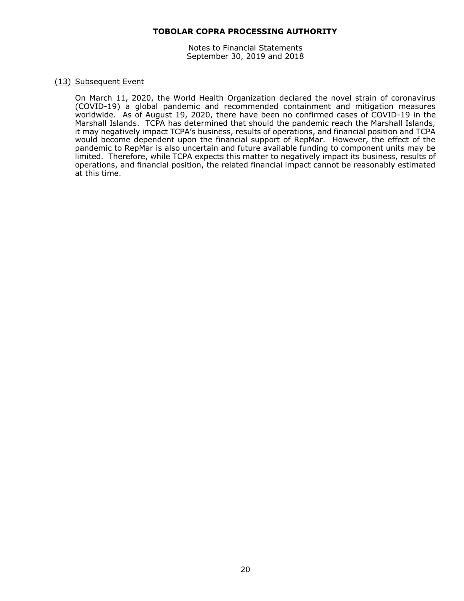Notes to Financial Statements September 30, 2019 and 2018

#### (13) Subsequent Event

On March 11, 2020, the World Health Organization declared the novel strain of coronavirus (COVID-19) a global pandemic and recommended containment and mitigation measures worldwide. As of August 19, 2020, there have been no confirmed cases of COVID-19 in the Marshall Islands. TCPA has determined that should the pandemic reach the Marshall Islands, it may negatively impact TCPA's business, results of operations, and financial position and TCPA would become dependent upon the financial support of RepMar. However, the effect of the pandemic to RepMar is also uncertain and future available funding to component units may be limited. Therefore, while TCPA expects this matter to negatively impact its business, results of operations, and financial position, the related financial impact cannot be reasonably estimated at this time.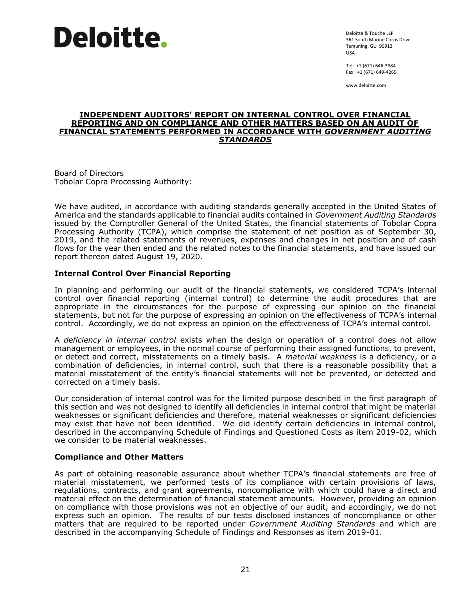

Deloitte & Touche LLP 361 South Marine Corps Drive Tamuning, GU 96913 USA

Tel: +1 (671) 646-3884 Fax: +1 (671) 649-4265

www.deloitte.com

#### **INDEPENDENT AUDITORS' REPORT ON INTERNAL CONTROL OVER FINANCIAL REPORTING AND ON COMPLIANCE AND OTHER MATTERS BASED ON AN AUDIT OF FINANCIAL STATEMENTS PERFORMED IN ACCORDANCE WITH** *GOVERNMENT AUDITING STANDARDS*

Board of Directors Tobolar Copra Processing Authority:

We have audited, in accordance with auditing standards generally accepted in the United States of America and the standards applicable to financial audits contained in *Government Auditing Standards* issued by the Comptroller General of the United States, the financial statements of Tobolar Copra Processing Authority (TCPA), which comprise the statement of net position as of September 30, 2019, and the related statements of revenues, expenses and changes in net position and of cash flows for the year then ended and the related notes to the financial statements, and have issued our report thereon dated August 19, 2020.

# **Internal Control Over Financial Reporting**

In planning and performing our audit of the financial statements, we considered TCPA's internal control over financial reporting (internal control) to determine the audit procedures that are appropriate in the circumstances for the purpose of expressing our opinion on the financial statements, but not for the purpose of expressing an opinion on the effectiveness of TCPA's internal control. Accordingly, we do not express an opinion on the effectiveness of TCPA's internal control.

A *deficiency in internal control* exists when the design or operation of a control does not allow management or employees, in the normal course of performing their assigned functions, to prevent, or detect and correct, misstatements on a timely basis. A *material weakness* is a deficiency, or a combination of deficiencies, in internal control, such that there is a reasonable possibility that a material misstatement of the entity's financial statements will not be prevented, or detected and corrected on a timely basis.

Our consideration of internal control was for the limited purpose described in the first paragraph of this section and was not designed to identify all deficiencies in internal control that might be material weaknesses or significant deficiencies and therefore, material weaknesses or significant deficiencies may exist that have not been identified. We did identify certain deficiencies in internal control, described in the accompanying Schedule of Findings and Questioned Costs as item 2019-02, which we consider to be material weaknesses.

# **Compliance and Other Matters**

As part of obtaining reasonable assurance about whether TCPA's financial statements are free of material misstatement, we performed tests of its compliance with certain provisions of laws, regulations, contracts, and grant agreements, noncompliance with which could have a direct and material effect on the determination of financial statement amounts. However, providing an opinion on compliance with those provisions was not an objective of our audit, and accordingly, we do not express such an opinion. The results of our tests disclosed instances of noncompliance or other matters that are required to be reported under *Government Auditing Standards* and which are described in the accompanying Schedule of Findings and Responses as item 2019-01.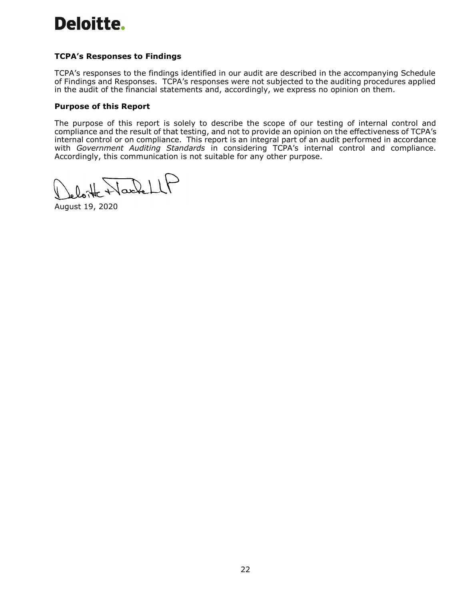# Deloitte.

# **TCPA's Responses to Findings**

TCPA's responses to the findings identified in our audit are described in the accompanying Schedule of Findings and Responses. TCPA's responses were not subjected to the auditing procedures applied in the audit of the financial statements and, accordingly, we express no opinion on them.

# **Purpose of this Report**

The purpose of this report is solely to describe the scope of our testing of internal control and compliance and the result of that testing, and not to provide an opinion on the effectiveness of TCPA's internal control or on compliance. This report is an integral part of an audit performed in accordance with *Government Auditing Standards* in considering TCPA's internal control and compliance. Accordingly, this communication is not suitable for any other purpose.

loite Nachell

August 19, 2020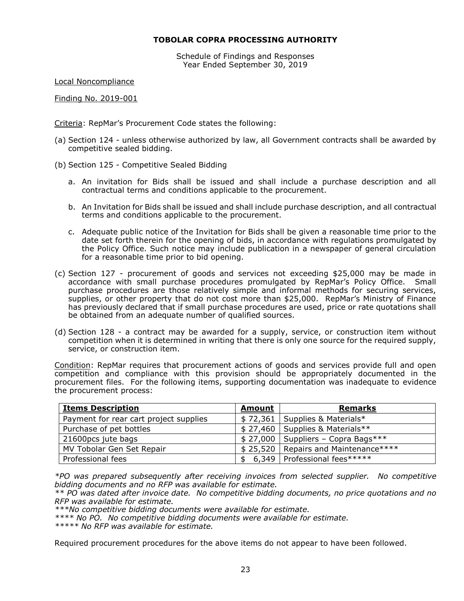Schedule of Findings and Responses Year Ended September 30, 2019

Local Noncompliance

Finding No. 2019-001

Criteria: RepMar's Procurement Code states the following:

- (a) Section 124 unless otherwise authorized by law, all Government contracts shall be awarded by competitive sealed bidding.
- (b) Section 125 Competitive Sealed Bidding
	- a. An invitation for Bids shall be issued and shall include a purchase description and all contractual terms and conditions applicable to the procurement.
	- b. An Invitation for Bids shall be issued and shall include purchase description, and all contractual terms and conditions applicable to the procurement.
	- c. Adequate public notice of the Invitation for Bids shall be given a reasonable time prior to the date set forth therein for the opening of bids, in accordance with regulations promulgated by the Policy Office. Such notice may include publication in a newspaper of general circulation for a reasonable time prior to bid opening.
- (c) Section 127 procurement of goods and services not exceeding \$25,000 may be made in accordance with small purchase procedures promulgated by RepMar's Policy Office. Small purchase procedures are those relatively simple and informal methods for securing services, supplies, or other property that do not cost more than \$25,000. RepMar's Ministry of Finance has previously declared that if small purchase procedures are used, price or rate quotations shall be obtained from an adequate number of qualified sources.
- (d) Section 128 a contract may be awarded for a supply, service, or construction item without competition when it is determined in writing that there is only one source for the required supply, service, or construction item.

Condition: RepMar requires that procurement actions of goods and services provide full and open competition and compliance with this provision should be appropriately documented in the procurement files. For the following items, supporting documentation was inadequate to evidence the procurement process:

| <b>Items Description</b>               | Amount | <b>Remarks</b>                        |
|----------------------------------------|--------|---------------------------------------|
| Payment for rear cart project supplies |        | $$72,361$ Supplies & Materials*       |
| Purchase of pet bottles                |        | \$27,460   Supplies & Materials**     |
| 21600pcs jute bags                     |        | $$27,000$ Suppliers - Copra Bags***   |
| MV Tobolar Gen Set Repair              |        | $$25,520$ Repairs and Maintenance**** |
| Professional fees                      |        | $$6,349$ Professional fees*****       |

*\*PO was prepared subsequently after receiving invoices from selected supplier. No competitive bidding documents and no RFP was available for estimate.*

*\*\* PO was dated after invoice date. No competitive bidding documents, no price quotations and no RFP was available for estimate.*

*\*\*\*No competitive bidding documents were available for estimate.*

*\*\*\*\* No PO. No competitive bidding documents were available for estimate. \*\*\*\*\* No RFP was available for estimate.*

Required procurement procedures for the above items do not appear to have been followed.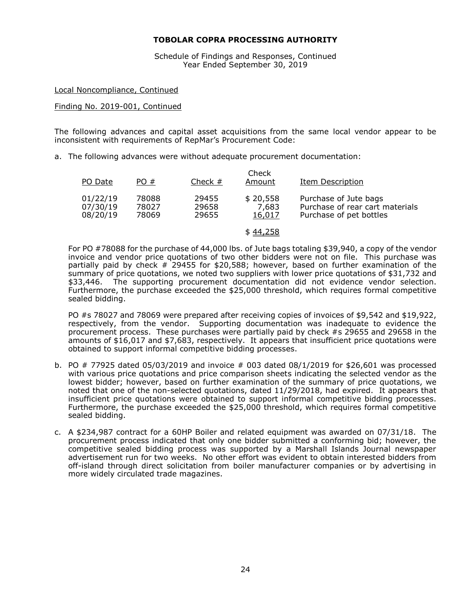Schedule of Findings and Responses, Continued Year Ended September 30, 2019

#### Local Noncompliance, Continued

#### Finding No. 2019-001, Continued

The following advances and capital asset acquisitions from the same local vendor appear to be inconsistent with requirements of RepMar's Procurement Code:

a. The following advances were without adequate procurement documentation:

| PO Date  | PO#   | Check $#$ | <b>UIRCK</b><br>Amount | Item Description                |
|----------|-------|-----------|------------------------|---------------------------------|
| 01/22/19 | 78088 | 29455     | \$20,558               | Purchase of Jute bags           |
| 07/30/19 | 78027 | 29658     | 7,683                  | Purchase of rear cart materials |
| 08/20/19 | 78069 | 29655     | 16,017                 | Purchase of pet bottles         |

#### $$44,258$

 $C<sub>2</sub>$  and  $C<sub>2</sub>$ 

For PO #78088 for the purchase of 44,000 lbs. of Jute bags totaling \$39,940, a copy of the vendor invoice and vendor price quotations of two other bidders were not on file. This purchase was partially paid by check # 29455 for \$20,588; however, based on further examination of the summary of price quotations, we noted two suppliers with lower price quotations of \$31,732 and \$33,446. The supporting procurement documentation did not evidence vendor selection. Furthermore, the purchase exceeded the \$25,000 threshold, which requires formal competitive sealed bidding.

PO #s 78027 and 78069 were prepared after receiving copies of invoices of \$9,542 and \$19,922, respectively, from the vendor. Supporting documentation was inadequate to evidence the procurement process. These purchases were partially paid by check #s 29655 and 29658 in the amounts of \$16,017 and \$7,683, respectively. It appears that insufficient price quotations were obtained to support informal competitive bidding processes.

- b. PO # 77925 dated 05/03/2019 and invoice # 003 dated 08/1/2019 for \$26,601 was processed with various price quotations and price comparison sheets indicating the selected vendor as the lowest bidder; however, based on further examination of the summary of price quotations, we noted that one of the non-selected quotations, dated 11/29/2018, had expired. It appears that insufficient price quotations were obtained to support informal competitive bidding processes. Furthermore, the purchase exceeded the \$25,000 threshold, which requires formal competitive sealed bidding.
- c. A \$234,987 contract for a 60HP Boiler and related equipment was awarded on 07/31/18. The procurement process indicated that only one bidder submitted a conforming bid; however, the competitive sealed bidding process was supported by a Marshall Islands Journal newspaper advertisement run for two weeks. No other effort was evident to obtain interested bidders from off-island through direct solicitation from boiler manufacturer companies or by advertising in more widely circulated trade magazines.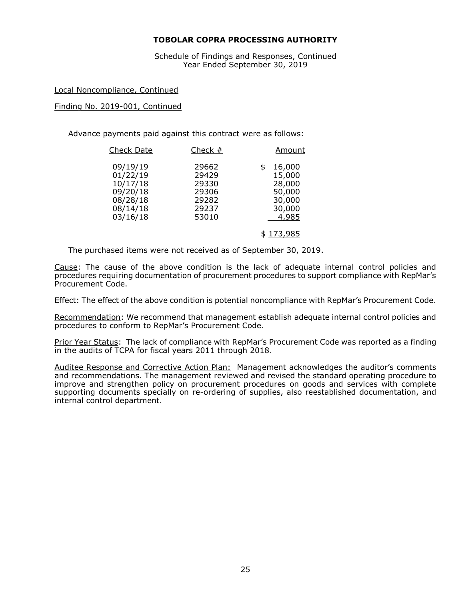Schedule of Findings and Responses, Continued Year Ended September 30, 2019

# Local Noncompliance, Continued

# Finding No. 2019-001, Continued

Advance payments paid against this contract were as follows:

| <b>Check Date</b>                                                                | Check $#$                                                   | Amount                                                                  |
|----------------------------------------------------------------------------------|-------------------------------------------------------------|-------------------------------------------------------------------------|
| 09/19/19<br>01/22/19<br>10/17/18<br>09/20/18<br>08/28/18<br>08/14/18<br>03/16/18 | 29662<br>29429<br>29330<br>29306<br>29282<br>29237<br>53010 | 16,000<br>\$<br>15,000<br>28,000<br>50,000<br>30,000<br>30,000<br>4,985 |
|                                                                                  |                                                             |                                                                         |

\$ 173,985

The purchased items were not received as of September 30, 2019.

Cause: The cause of the above condition is the lack of adequate internal control policies and procedures requiring documentation of procurement procedures to support compliance with RepMar's Procurement Code.

Effect: The effect of the above condition is potential noncompliance with RepMar's Procurement Code.

Recommendation: We recommend that management establish adequate internal control policies and procedures to conform to RepMar's Procurement Code.

Prior Year Status: The lack of compliance with RepMar's Procurement Code was reported as a finding in the audits of TCPA for fiscal years 2011 through 2018.

Auditee Response and Corrective Action Plan: Management acknowledges the auditor's comments and recommendations. The management reviewed and revised the standard operating procedure to improve and strengthen policy on procurement procedures on goods and services with complete supporting documents specially on re-ordering of supplies, also reestablished documentation, and internal control department.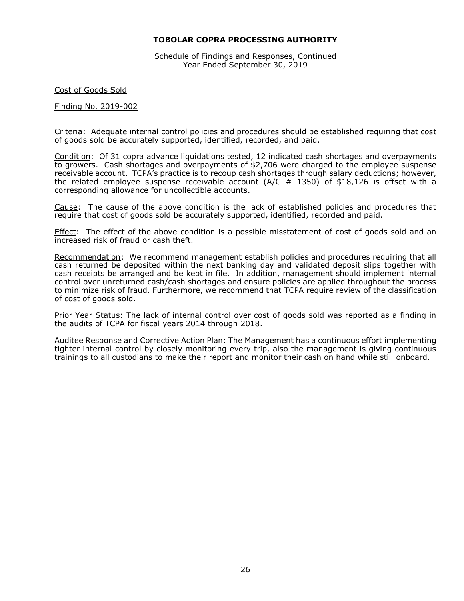Schedule of Findings and Responses, Continued Year Ended September 30, 2019

Cost of Goods Sold

Finding No. 2019-002

Criteria: Adequate internal control policies and procedures should be established requiring that cost of goods sold be accurately supported, identified, recorded, and paid.

Condition: Of 31 copra advance liquidations tested, 12 indicated cash shortages and overpayments to growers. Cash shortages and overpayments of \$2,706 were charged to the employee suspense receivable account. TCPA's practice is to recoup cash shortages through salary deductions; however, the related employee suspense receivable account  $(A/C \neq 1350)$  of \$18,126 is offset with a corresponding allowance for uncollectible accounts.

Cause: The cause of the above condition is the lack of established policies and procedures that require that cost of goods sold be accurately supported, identified, recorded and paid.

Effect: The effect of the above condition is a possible misstatement of cost of goods sold and an increased risk of fraud or cash theft.

Recommendation: We recommend management establish policies and procedures requiring that all cash returned be deposited within the next banking day and validated deposit slips together with cash receipts be arranged and be kept in file. In addition, management should implement internal control over unreturned cash/cash shortages and ensure policies are applied throughout the process to minimize risk of fraud. Furthermore, we recommend that TCPA require review of the classification of cost of goods sold.

Prior Year Status: The lack of internal control over cost of goods sold was reported as a finding in the audits of TCPA for fiscal years 2014 through 2018.

Auditee Response and Corrective Action Plan: The Management has a continuous effort implementing tighter internal control by closely monitoring every trip, also the management is giving continuous trainings to all custodians to make their report and monitor their cash on hand while still onboard.